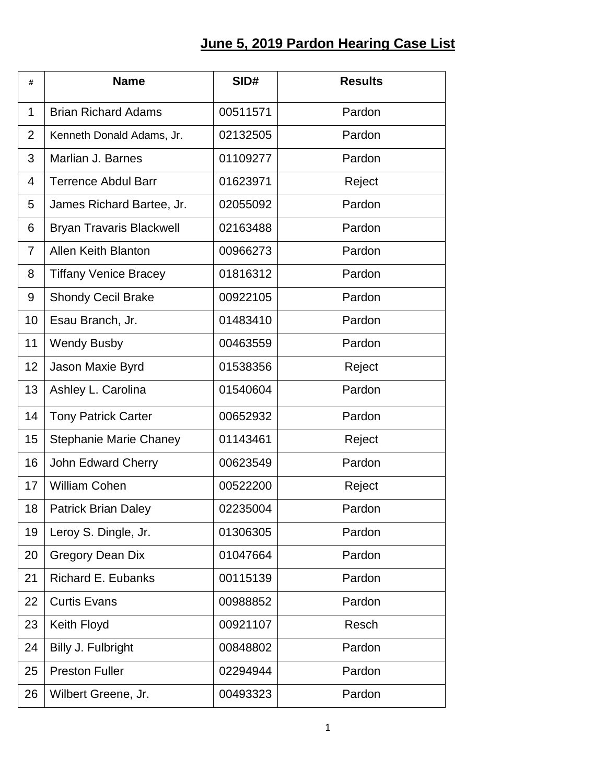## **June 5, 2019 Pardon Hearing Case List**

| #              | <b>Name</b>                     | SID#     | <b>Results</b> |
|----------------|---------------------------------|----------|----------------|
| 1              | <b>Brian Richard Adams</b>      | 00511571 | Pardon         |
| $\overline{2}$ | Kenneth Donald Adams, Jr.       | 02132505 | Pardon         |
| 3              | Marlian J. Barnes               | 01109277 | Pardon         |
| 4              | <b>Terrence Abdul Barr</b>      | 01623971 | Reject         |
| 5              | James Richard Bartee, Jr.       | 02055092 | Pardon         |
| 6              | <b>Bryan Travaris Blackwell</b> | 02163488 | Pardon         |
| $\overline{7}$ | <b>Allen Keith Blanton</b>      | 00966273 | Pardon         |
| 8              | <b>Tiffany Venice Bracey</b>    | 01816312 | Pardon         |
| 9              | <b>Shondy Cecil Brake</b>       | 00922105 | Pardon         |
| 10             | Esau Branch, Jr.                | 01483410 | Pardon         |
| 11             | <b>Wendy Busby</b>              | 00463559 | Pardon         |
| 12             | Jason Maxie Byrd                | 01538356 | Reject         |
| 13             | Ashley L. Carolina              | 01540604 | Pardon         |
| 14             | <b>Tony Patrick Carter</b>      | 00652932 | Pardon         |
| 15             | <b>Stephanie Marie Chaney</b>   | 01143461 | Reject         |
| 16             | John Edward Cherry              | 00623549 | Pardon         |
| 17             | <b>William Cohen</b>            | 00522200 | Reject         |
| 18             | Patrick Brian Daley             | 02235004 | Pardon         |
| 19             | Leroy S. Dingle, Jr.            | 01306305 | Pardon         |
| 20             | <b>Gregory Dean Dix</b>         | 01047664 | Pardon         |
| 21             | Richard E. Eubanks              | 00115139 | Pardon         |
| 22             | <b>Curtis Evans</b>             | 00988852 | Pardon         |
| 23             | Keith Floyd                     | 00921107 | Resch          |
| 24             | Billy J. Fulbright              | 00848802 | Pardon         |
| 25             | <b>Preston Fuller</b>           | 02294944 | Pardon         |
| 26             | Wilbert Greene, Jr.             | 00493323 | Pardon         |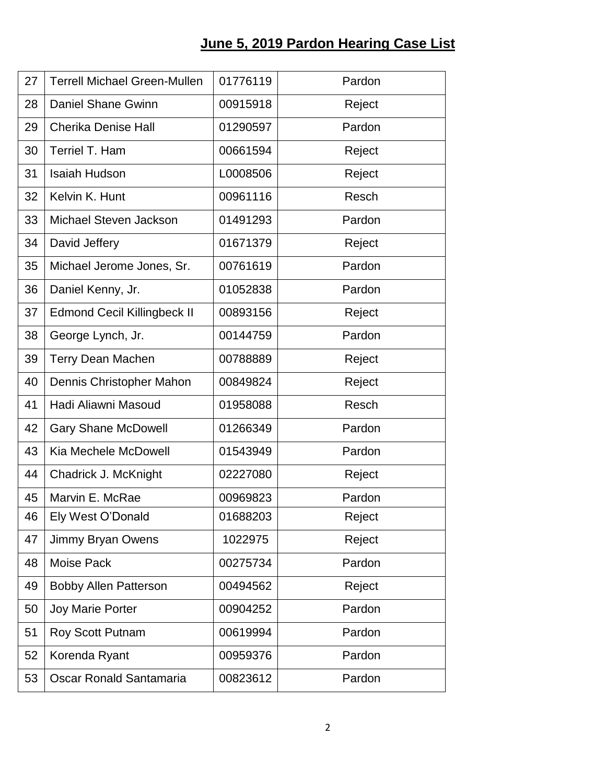## **June 5, 2019 Pardon Hearing Case List**

| 27 | <b>Terrell Michael Green-Mullen</b> | 01776119 | Pardon |
|----|-------------------------------------|----------|--------|
| 28 | <b>Daniel Shane Gwinn</b>           | 00915918 | Reject |
| 29 | <b>Cherika Denise Hall</b>          | 01290597 | Pardon |
| 30 | Terriel T. Ham                      | 00661594 | Reject |
| 31 | <b>Isaiah Hudson</b>                | L0008506 | Reject |
| 32 | Kelvin K. Hunt                      | 00961116 | Resch  |
| 33 | Michael Steven Jackson              | 01491293 | Pardon |
| 34 | David Jeffery                       | 01671379 | Reject |
| 35 | Michael Jerome Jones, Sr.           | 00761619 | Pardon |
| 36 | Daniel Kenny, Jr.                   | 01052838 | Pardon |
| 37 | <b>Edmond Cecil Killingbeck II</b>  | 00893156 | Reject |
| 38 | George Lynch, Jr.                   | 00144759 | Pardon |
| 39 | <b>Terry Dean Machen</b>            | 00788889 | Reject |
| 40 | Dennis Christopher Mahon            | 00849824 | Reject |
| 41 | Hadi Aliawni Masoud                 | 01958088 | Resch  |
| 42 | <b>Gary Shane McDowell</b>          | 01266349 | Pardon |
| 43 | Kia Mechele McDowell                | 01543949 | Pardon |
| 44 | Chadrick J. McKnight                | 02227080 | Reject |
| 45 | Marvin E. McRae                     | 00969823 | Pardon |
| 46 | Ely West O'Donald                   | 01688203 | Reject |
| 47 | Jimmy Bryan Owens                   | 1022975  | Reject |
| 48 | Moise Pack                          | 00275734 | Pardon |
| 49 | <b>Bobby Allen Patterson</b>        | 00494562 | Reject |
| 50 | <b>Joy Marie Porter</b>             | 00904252 | Pardon |
| 51 | Roy Scott Putnam                    | 00619994 | Pardon |
| 52 | Korenda Ryant                       | 00959376 | Pardon |
| 53 | Oscar Ronald Santamaria             | 00823612 | Pardon |